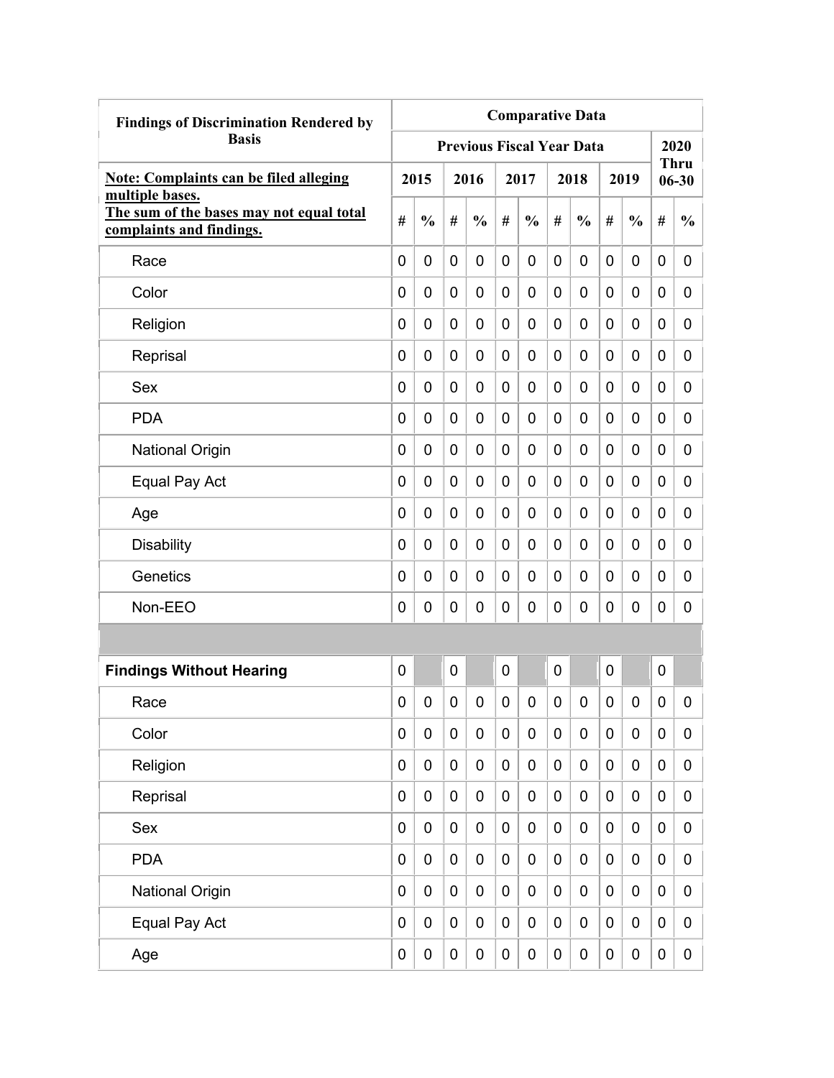| <b>Findings of Discrimination Rendered by</b>                                           | <b>Comparative Data</b> |               |           |                                  |                |               |             |               |   |                  |                  |                          |  |  |
|-----------------------------------------------------------------------------------------|-------------------------|---------------|-----------|----------------------------------|----------------|---------------|-------------|---------------|---|------------------|------------------|--------------------------|--|--|
| <b>Basis</b>                                                                            |                         |               |           | <b>Previous Fiscal Year Data</b> |                |               |             |               |   |                  |                  | 2020                     |  |  |
| <b>Note: Complaints can be filed alleging</b>                                           |                         | 2015          |           | 2016                             |                | 2017          |             | 2018          |   | 2019             |                  | <b>Thru</b><br>$06 - 30$ |  |  |
| multiple bases.<br>The sum of the bases may not equal total<br>complaints and findings. | #                       | $\frac{0}{0}$ | #         | $\frac{0}{0}$                    | #              | $\frac{0}{0}$ | #           | $\frac{0}{0}$ | # | $\frac{0}{0}$    | #                | $\frac{0}{0}$            |  |  |
| Race                                                                                    | 0                       | 0             | 0         | $\overline{0}$                   | $\overline{0}$ | $\mathbf 0$   | 0           | 0             | 0 | 0                | 0                | 0                        |  |  |
| Color                                                                                   | 0                       | 0             | 0         | 0                                | 0              | 0             | 0           | 0             | 0 | 0                | 0                | 0                        |  |  |
| Religion                                                                                | 0                       | 0             | 0         | 0                                | 0              | 0             | 0           | 0             | 0 | 0                | 0                | 0                        |  |  |
| Reprisal                                                                                | 0                       | 0             | 0         | 0                                | 0              | 0             | 0           | 0             | 0 | 0                | 0                | 0                        |  |  |
| Sex                                                                                     | 0                       | 0             | 0         | 0                                | 0              | $\mathbf 0$   | 0           | 0             | 0 | 0                | 0                | 0                        |  |  |
| <b>PDA</b>                                                                              | 0                       | 0             | 0         | $\overline{0}$                   | 0              | $\mathbf 0$   | 0           | 0             | 0 | 0                | $\mathbf 0$      | 0                        |  |  |
| <b>National Origin</b>                                                                  | 0                       | 0             | 0         | 0                                | 0              | 0             | 0           | 0             | 0 | 0                | 0                | 0                        |  |  |
| Equal Pay Act                                                                           | 0                       | 0             | 0         | 0                                | 0              | 0             | 0           | 0             | 0 | 0                | 0                | 0                        |  |  |
| Age                                                                                     | 0                       | 0             | 0         | 0                                | $\mathbf 0$    | 0             | 0           | 0             | 0 | 0                | 0                | 0                        |  |  |
| <b>Disability</b>                                                                       | 0                       | 0             | 0         | 0                                | 0              | 0             | 0           | 0             | 0 | 0                | 0                | 0                        |  |  |
| Genetics                                                                                | 0                       | 0             | 0         | 0                                | 0              | 0             | 0           | 0             | 0 | 0                | 0                | 0                        |  |  |
| Non-EEO                                                                                 | 0                       | 0             | 0         | 0                                | 0              | 0             | 0           | 0             | 0 | 0                | 0                | 0                        |  |  |
|                                                                                         |                         |               |           |                                  |                |               |             |               |   |                  |                  |                          |  |  |
| <b>Findings Without Hearing</b>                                                         | 0                       |               | 0         |                                  | 0              |               | 0           |               | 0 |                  | $\mathbf 0$      |                          |  |  |
| Race                                                                                    | 0                       | 0             | 0         | 0                                | 0              | 0             | 0           | 0             | 0 | 0                | 0                | 0                        |  |  |
| Color                                                                                   | 0                       | $\mathbf 0$   | $\pmb{0}$ | $\mathbf 0$                      | $\mathbf 0$    | $\mathbf 0$   | $\mathbf 0$ | 0             | 0 | $\mathbf 0$      | $\mathbf 0$      | 0                        |  |  |
| Religion                                                                                | 0                       | $\mathbf 0$   | $\pmb{0}$ | $\mathbf 0$                      | $\mathbf 0$    | 0             | 0           | 0             | 0 | $\boldsymbol{0}$ | $\mathbf 0$      | 0                        |  |  |
| Reprisal                                                                                | 0                       | $\mathbf 0$   | $\pmb{0}$ | $\mathbf 0$                      | $\mathbf 0$    | $\mathbf 0$   | $\mathbf 0$ | 0             | 0 | $\pmb{0}$        | $\mathbf 0$      | 0                        |  |  |
| Sex                                                                                     | 0                       | $\mathbf 0$   | $\pmb{0}$ | $\mathbf 0$                      | $\mathbf 0$    | $\mathbf 0$   | $\mathbf 0$ | 0             | 0 | $\pmb{0}$        | $\mathbf 0$      | 0                        |  |  |
| <b>PDA</b>                                                                              | 0                       | $\mathbf 0$   | $\pmb{0}$ | $\mathbf 0$                      | $\mathbf 0$    | $\mathbf 0$   | $\mathbf 0$ | $\pmb{0}$     | 0 | $\mathbf 0$      | $\mathbf 0$      | 0                        |  |  |
| <b>National Origin</b>                                                                  | 0                       | $\mathbf 0$   | $\pmb{0}$ | $\mathbf 0$                      | $\mathbf 0$    | $\pmb{0}$     | 0           | 0             | 0 | $\pmb{0}$        | $\boldsymbol{0}$ | 0                        |  |  |
| Equal Pay Act                                                                           | 0                       | $\pmb{0}$     | $\pmb{0}$ | 0                                | $\mathbf 0$    | $\pmb{0}$     | 0           | 0             | 0 | $\pmb{0}$        | $\boldsymbol{0}$ | 0                        |  |  |
| Age                                                                                     | 0                       | $\pmb{0}$     | 0         | $\pmb{0}$                        | $\pmb{0}$      | $\pmb{0}$     | 0           | 0             | 0 | $\pmb{0}$        | $\pmb{0}$        | $\mathbf 0$              |  |  |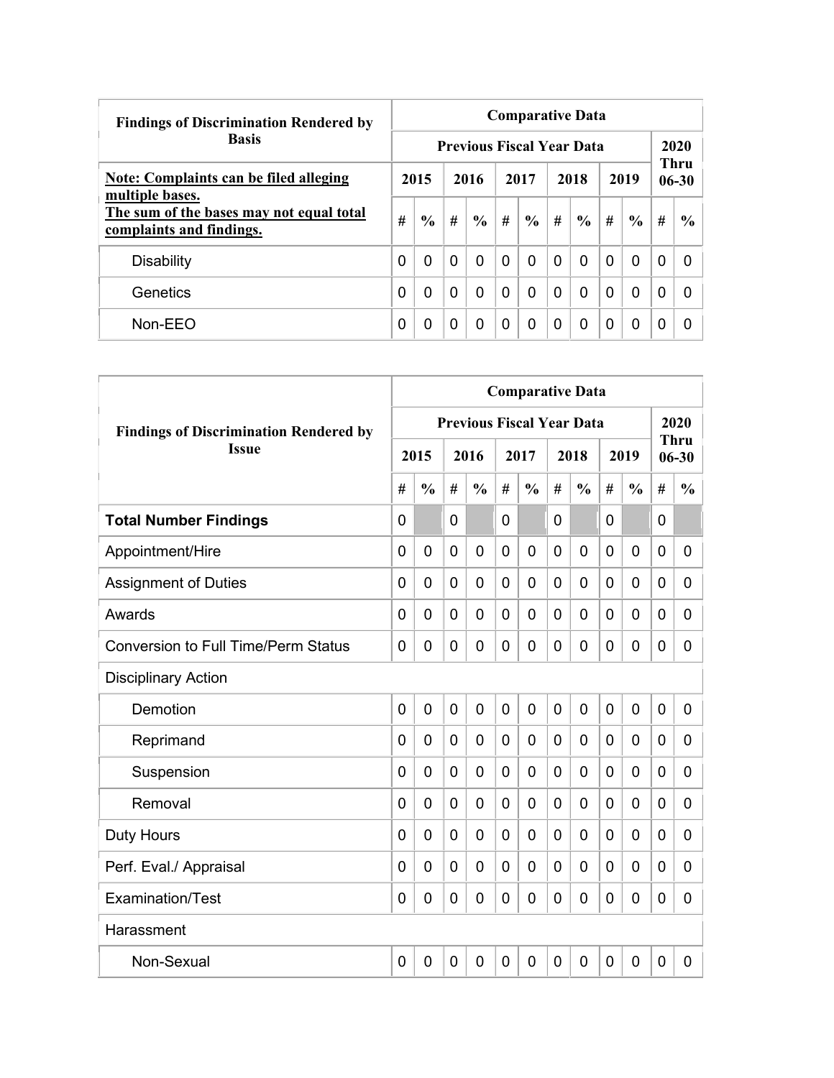| <b>Findings of Discrimination Rendered by</b>                        |   | <b>Comparative Data</b> |          |                                  |          |               |          |               |          |               |   |                   |  |  |  |
|----------------------------------------------------------------------|---|-------------------------|----------|----------------------------------|----------|---------------|----------|---------------|----------|---------------|---|-------------------|--|--|--|
| <b>Basis</b>                                                         |   |                         |          | <b>Previous Fiscal Year Data</b> |          |               |          |               |          |               |   | 2020              |  |  |  |
| Note: Complaints can be filed alleging<br>multiple bases.            |   | 2015                    |          | 2016                             |          | 2017          |          | 2018          |          | 2019          |   | Thru<br>$06 - 30$ |  |  |  |
| The sum of the bases may not equal total<br>complaints and findings. | # | $\frac{0}{0}$           | #        | $\frac{6}{9}$                    | #        | $\frac{6}{9}$ | #        | $\frac{0}{0}$ | #        | $\frac{6}{9}$ | # | $\frac{6}{6}$     |  |  |  |
| <b>Disability</b>                                                    | 0 | $\Omega$                | $\Omega$ | 0                                | $\Omega$ | $\Omega$      | $\Omega$ | $\mathbf{0}$  | $\Omega$ | $\Omega$      | 0 | $\Omega$          |  |  |  |
| Genetics                                                             | 0 | 0                       | $\Omega$ | 0                                | $\Omega$ | $\Omega$      | $\Omega$ | $\Omega$      | 0        | $\Omega$      | 0 | 0                 |  |  |  |
| Non-EEO                                                              | 0 | 0                       | 0        | 0                                | $\Omega$ | 0             | $\Omega$ | $\Omega$      | 0        | $\Omega$      | 0 | 0                 |  |  |  |

|                                               | <b>Comparative Data</b> |                |          |                                  |                |                |                |               |                |                |             |                          |
|-----------------------------------------------|-------------------------|----------------|----------|----------------------------------|----------------|----------------|----------------|---------------|----------------|----------------|-------------|--------------------------|
| <b>Findings of Discrimination Rendered by</b> |                         |                |          | <b>Previous Fiscal Year Data</b> |                |                |                |               |                |                |             | 2020                     |
| <b>Issue</b>                                  |                         | 2015           |          | 2016                             |                | 2017           |                | 2018          |                | 2019           |             | <b>Thru</b><br>$06 - 30$ |
|                                               | #                       | $\frac{0}{0}$  | #        | $\frac{0}{0}$                    | #              | $\frac{0}{0}$  | #              | $\frac{0}{0}$ | #              | $\frac{0}{0}$  | #           | $\frac{0}{0}$            |
| <b>Total Number Findings</b>                  | $\mathbf 0$             |                | 0        |                                  | $\mathbf 0$    |                | 0              |               | 0              |                | 0           |                          |
| Appointment/Hire                              | $\mathbf 0$             | $\mathbf 0$    | 0        | $\overline{0}$                   | $\overline{0}$ | $\overline{0}$ | 0              | 0             | $\mathbf 0$    | $\mathbf 0$    | $\mathbf 0$ | $\overline{0}$           |
| <b>Assignment of Duties</b>                   | $\Omega$                | $\mathbf 0$    | 0        | $\overline{0}$                   | $\mathbf 0$    | 0              | 0              | 0             | 0              | $\mathbf 0$    | 0           | 0                        |
| Awards                                        | $\Omega$                | $\Omega$       | $\Omega$ | $\overline{0}$                   | $\mathbf 0$    | 0              | $\Omega$       | 0             | $\Omega$       | $\mathbf 0$    | 0           | 0                        |
| <b>Conversion to Full Time/Perm Status</b>    | $\Omega$                | $\Omega$       | 0        | $\overline{0}$                   | $\mathbf 0$    | 0              | 0              | 0             | 0              | $\mathbf 0$    | 0           | 0                        |
| <b>Disciplinary Action</b>                    |                         |                |          |                                  |                |                |                |               |                |                |             |                          |
| Demotion                                      | $\mathbf 0$             | 0              | 0        | $\overline{0}$                   | $\overline{0}$ | $\overline{0}$ | 0              | 0             | $\overline{0}$ | $\overline{0}$ | $\mathbf 0$ | 0                        |
| Reprimand                                     | $\Omega$                | 0              | 0        | 0                                | 0              | 0              | $\Omega$       | 0             | 0              | $\mathbf 0$    | 0           | 0                        |
| Suspension                                    | $\Omega$                | $\Omega$       | 0        | $\overline{0}$                   | $\mathbf 0$    | 0              | 0              | 0             | 0              | $\mathbf 0$    | 0           | 0                        |
| Removal                                       | 0                       | $\overline{0}$ | 0        | $\overline{0}$                   | $\overline{0}$ | $\overline{0}$ | $\overline{0}$ | 0             | $\mathbf 0$    | $\overline{0}$ | 0           | 0                        |
| <b>Duty Hours</b>                             | 0                       | $\overline{0}$ | 0        | $\overline{0}$                   | $\mathbf 0$    | $\overline{0}$ | $\Omega$       | 0             | $\mathbf 0$    | $\overline{0}$ | 0           | 0                        |
| Perf. Eval./ Appraisal                        | $\Omega$                | $\Omega$       | 0        | $\overline{0}$                   | $\mathbf 0$    | 0              | $\Omega$       | 0             | $\mathbf 0$    | $\overline{0}$ | 0           | 0                        |
| Examination/Test                              | $\mathbf{0}$            | 0              | 0        | $\overline{0}$                   | $\overline{0}$ | 0              | 0              | 0             | $\Omega$       | $\overline{0}$ | $\mathbf 0$ | 0                        |
| Harassment                                    |                         |                |          |                                  |                |                |                |               |                |                |             |                          |
| Non-Sexual                                    | $\mathbf 0$             | $\mathbf 0$    | 0        | $\overline{0}$                   | $\overline{0}$ | $\overline{0}$ | 0              | 0             | $\overline{0}$ | $\overline{0}$ | $\mathbf 0$ | 0                        |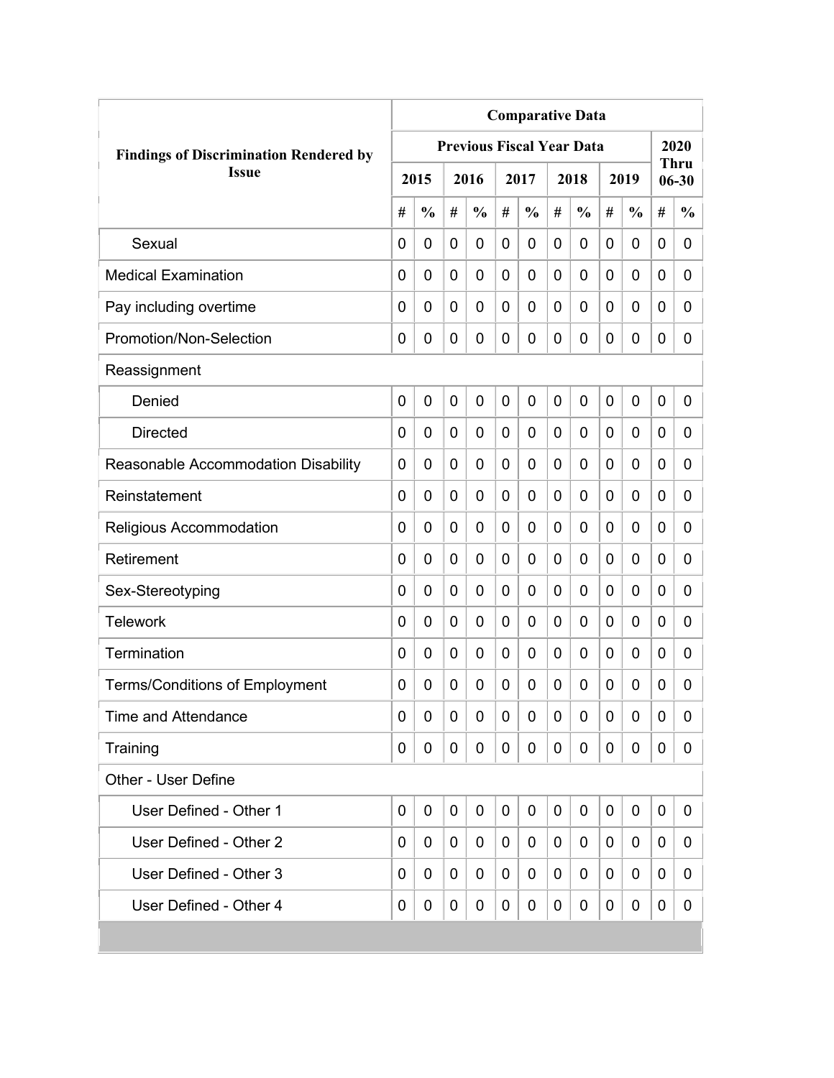|                                               | <b>Comparative Data</b> |               |                |                                  |   |               |   |               |             |               |   |                   |
|-----------------------------------------------|-------------------------|---------------|----------------|----------------------------------|---|---------------|---|---------------|-------------|---------------|---|-------------------|
| <b>Findings of Discrimination Rendered by</b> |                         |               |                | <b>Previous Fiscal Year Data</b> |   |               |   |               |             |               |   | 2020              |
| <b>Issue</b>                                  |                         | 2015          |                | 2016                             |   | 2017          |   | 2018          |             | 2019          |   | Thru<br>$06 - 30$ |
|                                               | #                       | $\frac{0}{0}$ | #              | $\frac{0}{0}$                    | # | $\frac{0}{0}$ | # | $\frac{0}{0}$ | #           | $\frac{0}{0}$ | # | $\frac{0}{0}$     |
| Sexual                                        | 0                       | 0             | 0              | 0                                | 0 | 0             | 0 | 0             | 0           | 0             | 0 | 0                 |
| <b>Medical Examination</b>                    | 0                       | 0             | 0              | 0                                | 0 | 0             | 0 | 0             | 0           | 0             | 0 | 0                 |
| Pay including overtime                        | 0                       | 0             | 0              | 0                                | 0 | 0             | 0 | 0             | 0           | 0             | 0 | 0                 |
| Promotion/Non-Selection                       | 0                       | 0             | 0              | 0                                | 0 | 0             | 0 | 0             | 0           | 0             | 0 | 0                 |
| Reassignment                                  |                         |               |                |                                  |   |               |   |               |             |               |   |                   |
| Denied                                        | $\mathbf 0$             | 0             | $\overline{0}$ | 0                                | 0 | 0             | 0 | 0             | $\mathbf 0$ | 0             | 0 | 0                 |
| <b>Directed</b>                               | 0                       | 0             | 0              | 0                                | 0 | 0             | 0 | 0             | 0           | 0             | 0 | 0                 |
| Reasonable Accommodation Disability           | 0                       | 0             | 0              | 0                                | 0 | 0             | 0 | 0             | 0           | 0             | 0 | 0                 |
| Reinstatement                                 | $\Omega$                | $\mathbf 0$   | 0              | 0                                | 0 | 0             | 0 | 0             | 0           | 0             | 0 | $\overline{0}$    |
| Religious Accommodation                       | 0                       | $\mathbf 0$   | 0              | 0                                | 0 | 0             | 0 | 0             | 0           | 0             | 0 | 0                 |
| Retirement                                    | 0                       | 0             | 0              | 0                                | 0 | 0             | 0 | 0             | 0           | 0             | 0 | 0                 |
| Sex-Stereotyping                              | 0                       | 0             | 0              | 0                                | 0 | 0             | 0 | 0             | 0           | 0             | 0 | 0                 |
| <b>Telework</b>                               | 0                       | $\mathbf 0$   | 0              | 0                                | 0 | 0             | 0 | 0             | 0           | 0             | 0 | 0                 |
| Termination                                   | 0                       | 0             | 0              | 0                                | 0 | 0             | 0 | 0             | 0           | 0             | 0 | 0                 |
| <b>Terms/Conditions of Employment</b>         | 0                       | 0             | 0              | 0                                | 0 | 0             | 0 | 0             | 0           | 0             | 0 | 0                 |
| <b>Time and Attendance</b>                    | 0                       | 0             | 0              | 0                                | 0 | 0             | 0 | 0             | 0           | 0             | 0 | 0                 |
| Training                                      | 0                       | 0             | 0              | 0                                | 0 | 0             | 0 | 0             | 0           | 0             | 0 | 0                 |
| Other - User Define                           |                         |               |                |                                  |   |               |   |               |             |               |   |                   |
| User Defined - Other 1                        | $\mathbf 0$             | 0             | 0              | 0                                | 0 | $\mathbf 0$   | 0 | 0             | 0           | 0             | 0 | 0                 |
| User Defined - Other 2                        | 0                       | 0             | 0              | 0                                | 0 | 0             | 0 | 0             | 0           | 0             | 0 | 0                 |
| User Defined - Other 3                        | 0                       | 0             | 0              | 0                                | 0 | 0             | 0 | 0             | 0           | 0             | 0 | 0                 |
| User Defined - Other 4                        | 0                       | 0             | 0              | 0                                | 0 | 0             | 0 | 0             | 0           | 0             | 0 | 0                 |
|                                               |                         |               |                |                                  |   |               |   |               |             |               |   |                   |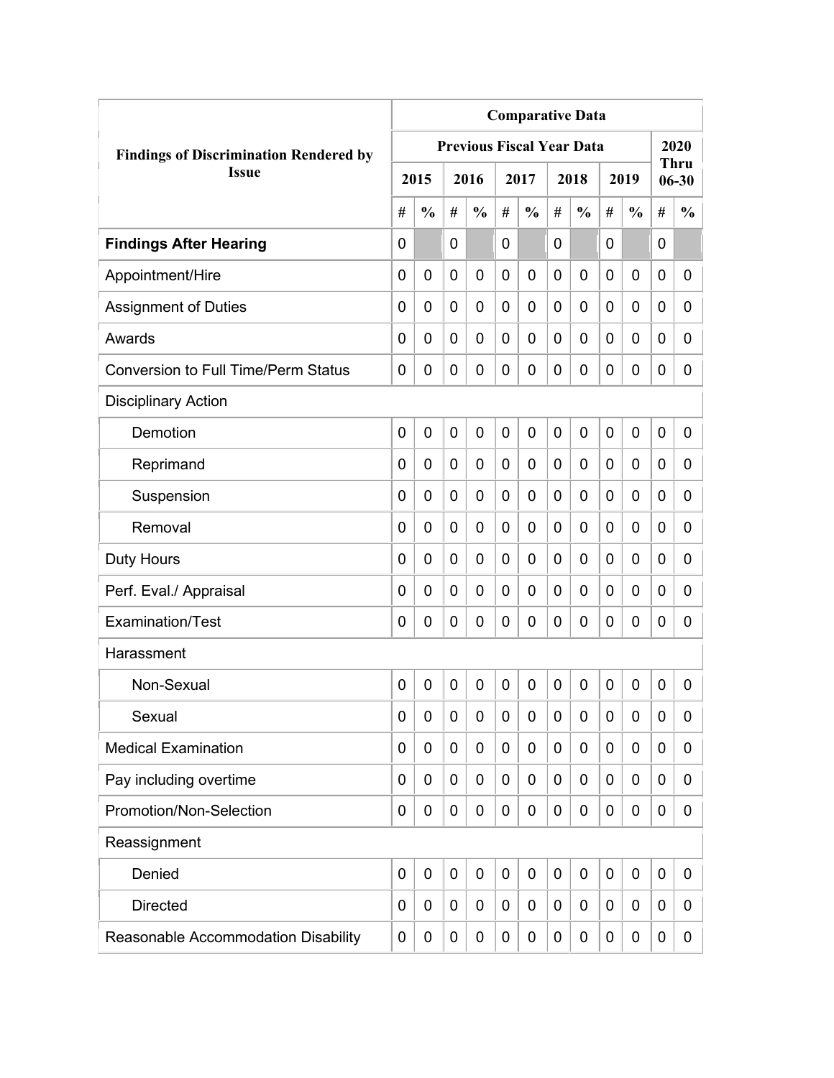|                                               | <b>Comparative Data</b><br><b>Previous Fiscal Year Data</b> |               |             |                |                |               |                |               |             |               |             |                          |
|-----------------------------------------------|-------------------------------------------------------------|---------------|-------------|----------------|----------------|---------------|----------------|---------------|-------------|---------------|-------------|--------------------------|
| <b>Findings of Discrimination Rendered by</b> |                                                             |               |             |                |                |               |                |               |             |               |             | 2020                     |
| <b>Issue</b>                                  |                                                             | 2015          |             | 2016           |                | 2017          |                | 2018          |             | 2019          |             | <b>Thru</b><br>$06 - 30$ |
|                                               | #                                                           | $\frac{0}{0}$ | #           | $\frac{0}{0}$  | #              | $\frac{0}{0}$ | #              | $\frac{0}{0}$ | #           | $\frac{0}{0}$ | #           | $\frac{0}{0}$            |
| <b>Findings After Hearing</b>                 | 0                                                           |               | 0           |                | $\overline{0}$ |               | 0              |               | 0           |               | $\mathbf 0$ |                          |
| Appointment/Hire                              | 0                                                           | $\mathbf 0$   | 0           | $\overline{0}$ | $\mathbf 0$    | 0             | 0              | 0             | 0           | $\mathbf 0$   | 0           | 0                        |
| <b>Assignment of Duties</b>                   | 0                                                           | 0             | 0           | 0              | $\mathbf 0$    | 0             | 0              | 0             | 0           | $\mathbf 0$   | 0           | 0                        |
| Awards                                        | 0                                                           | 0             | 0           | 0              | 0              | 0             | $\overline{0}$ | 0             | 0           | $\mathbf 0$   | 0           | 0                        |
| <b>Conversion to Full Time/Perm Status</b>    | 0                                                           | 0             | 0           | 0              | $\mathbf 0$    | 0             | 0              | 0             | 0           | $\mathbf 0$   | 0           | 0                        |
| <b>Disciplinary Action</b>                    |                                                             |               |             |                |                |               |                |               |             |               |             |                          |
| Demotion                                      | 0                                                           | $\mathbf 0$   | 0           | 0              | $\mathbf 0$    | 0             | $\overline{0}$ | 0             | 0           | $\mathbf 0$   | $\mathbf 0$ | 0                        |
| Reprimand                                     | 0                                                           | 0             | 0           | $\overline{0}$ | $\mathbf 0$    | 0             | 0              | 0             | 0           | $\mathbf 0$   | 0           | 0                        |
| Suspension                                    | 0                                                           | 0             | 0           | 0              | 0              | 0             | 0              | 0             | 0           | $\mathbf 0$   | 0           | 0                        |
| Removal                                       | 0                                                           | 0             | 0           | 0              | 0              | 0             | 0              | 0             | 0           | $\mathbf 0$   | 0           | 0                        |
| <b>Duty Hours</b>                             | 0                                                           | 0             | 0           | 0              | $\mathbf 0$    | 0             | 0              | 0             | 0           | $\mathbf 0$   | 0           | 0                        |
| Perf. Eval./ Appraisal                        | 0                                                           | 0             | 0           | 0              | $\mathbf 0$    | 0             | 0              | 0             | 0           | $\mathbf 0$   | 0           | 0                        |
| Examination/Test                              | 0                                                           | 0             | 0           | 0              | $\mathbf 0$    | 0             | $\mathbf 0$    | 0             | 0           | $\mathbf 0$   | 0           | 0                        |
| Harassment                                    |                                                             |               |             |                |                |               |                |               |             |               |             |                          |
| Non-Sexual                                    | 0                                                           | $\mathbf 0$   | $\mathbf 0$ | $\overline{0}$ | $\mathbf 0$    | 0             | $\mathbf 0$    | 0             | $\mathbf 0$ | $\mathbf 0$   | $\mathbf 0$ | 0                        |
| Sexual                                        | 0                                                           | 0             | 0           | 0              | $\mathbf 0$    | 0             | 0              | 0             | 0           | $\mathbf 0$   | 0           | 0                        |
| <b>Medical Examination</b>                    | 0                                                           | 0             | 0           | 0              | $\mathbf 0$    | 0             | 0              | 0             | 0           | $\mathbf 0$   | 0           | 0                        |
| Pay including overtime                        | 0                                                           | 0             | 0           | 0              | $\mathbf 0$    | 0             | 0              | 0             | 0           | $\mathbf 0$   | 0           | 0                        |
| Promotion/Non-Selection                       | 0                                                           | 0             | 0           | 0              | $\mathbf 0$    | 0             | $\mathbf 0$    | 0             | 0           | $\mathbf 0$   | 0           | 0                        |
| Reassignment                                  |                                                             |               |             |                |                |               |                |               |             |               |             |                          |
| Denied                                        | 0                                                           | $\mathbf 0$   | $\mathbf 0$ | 0              | $\mathbf 0$    | 0             | $\mathbf 0$    | 0             | 0           | $\mathbf 0$   | $\mathbf 0$ | 0                        |
| <b>Directed</b>                               | 0                                                           | 0             | 0           | 0              | 0              | 0             | 0              | 0             | 0           | $\mathbf 0$   | 0           | 0                        |
| Reasonable Accommodation Disability           | 0                                                           | 0             | 0           | 0              | $\mathbf 0$    | 0             | 0              | 0             | 0           | $\mathbf 0$   | 0           | $\mathbf{0}$             |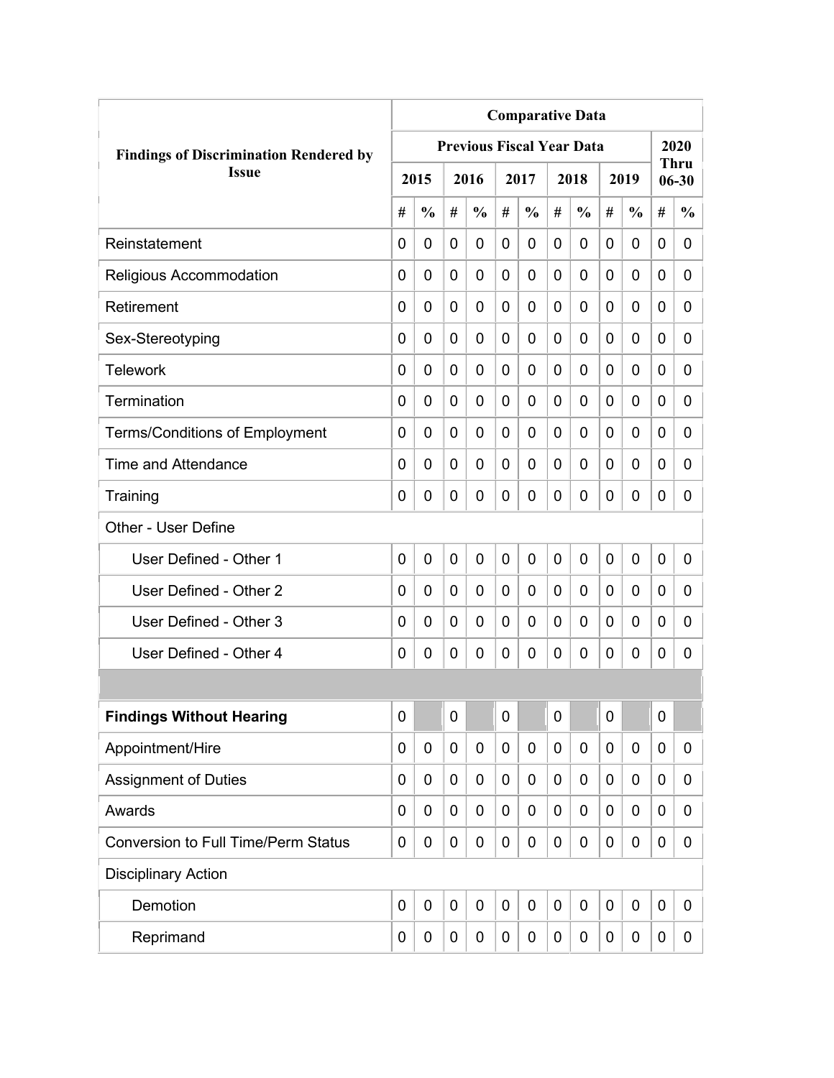|                                               | <b>Comparative Data</b> |               |             |                                  |                |               |   |               |             |               |             |                          |
|-----------------------------------------------|-------------------------|---------------|-------------|----------------------------------|----------------|---------------|---|---------------|-------------|---------------|-------------|--------------------------|
| <b>Findings of Discrimination Rendered by</b> |                         |               |             | <b>Previous Fiscal Year Data</b> |                |               |   |               |             |               |             | 2020                     |
| <b>Issue</b>                                  |                         | 2015          |             | 2016                             |                | 2017          |   | 2018          |             | 2019          |             | <b>Thru</b><br>$06 - 30$ |
|                                               | #                       | $\frac{0}{0}$ | #           | $\frac{0}{0}$                    | #              | $\frac{0}{0}$ | # | $\frac{0}{0}$ | #           | $\frac{0}{0}$ | #           | $\frac{0}{0}$            |
| Reinstatement                                 | $\Omega$                | 0             | 0           | 0                                | 0              | $\mathbf 0$   | 0 | 0             | 0           | 0             | 0           | 0                        |
| Religious Accommodation                       | 0                       | 0             | 0           | 0                                | $\overline{0}$ | $\mathbf 0$   | 0 | 0             | 0           | 0             | 0           | 0                        |
| Retirement                                    | 0                       | 0             | 0           | 0                                | 0              | $\mathbf 0$   | 0 | 0             | 0           | 0             | 0           | 0                        |
| Sex-Stereotyping                              | 0                       | 0             | 0           | 0                                | 0              | 0             | 0 | 0             | 0           | 0             | 0           | 0                        |
| <b>Telework</b>                               | 0                       | 0             | 0           | 0                                | 0              | 0             | 0 | 0             | 0           | 0             | 0           | 0                        |
| Termination                                   | 0                       | 0             | 0           | 0                                | 0              | 0             | 0 | 0             | 0           | 0             | 0           | 0                        |
| <b>Terms/Conditions of Employment</b>         | 0                       | 0             | 0           | 0                                | 0              | 0             | 0 | 0             | 0           | 0             | 0           | 0                        |
| <b>Time and Attendance</b>                    | 0                       | 0             | 0           | 0                                | 0              | 0             | 0 | 0             | 0           | 0             | 0           | 0                        |
| Training                                      | 0                       | 0             | 0           | 0                                | 0              | $\mathbf 0$   | 0 | 0             | 0           | 0             | 0           | 0                        |
| Other - User Define                           |                         |               |             |                                  |                |               |   |               |             |               |             |                          |
| User Defined - Other 1                        | 0                       | 0             | $\mathbf 0$ | 0                                | $\overline{0}$ | $\mathbf 0$   | 0 | 0             | $\mathbf 0$ | 0             | $\mathbf 0$ | 0                        |
| User Defined - Other 2                        | 0                       | 0             | 0           | 0                                | 0              | 0             | 0 | 0             | 0           | 0             | 0           | 0                        |
| User Defined - Other 3                        | 0                       | 0             | 0           | 0                                | 0              | 0             | 0 | 0             | 0           | 0             | 0           | 0                        |
| User Defined - Other 4                        | 0                       | 0             | 0           | 0                                | 0              | 0             | 0 | 0             | 0           | 0             | 0           | 0                        |
|                                               |                         |               |             |                                  |                |               |   |               |             |               |             |                          |
| <b>Findings Without Hearing</b>               | 0                       |               | $\mathbf 0$ |                                  | $\mathbf 0$    |               | 0 |               | 0           |               | $\mathbf 0$ |                          |
| Appointment/Hire                              | 0                       | 0             | 0           | 0                                | 0              | $\mathbf 0$   | 0 | $\mathbf 0$   | 0           | 0             | $\mathbf 0$ | 0                        |
| <b>Assignment of Duties</b>                   | 0                       | 0             | 0           | 0                                | 0              | $\mathbf 0$   | 0 | 0             | 0           | 0             | $\mathbf 0$ | 0                        |
| Awards                                        | 0                       | 0             | 0           | 0                                | 0              | 0             | 0 | 0             | 0           | 0             | $\mathbf 0$ | 0                        |
| <b>Conversion to Full Time/Perm Status</b>    | 0                       | 0             | 0           | 0                                | 0              | 0             | 0 | 0             | 0           | 0             | $\mathbf 0$ | 0                        |
| <b>Disciplinary Action</b>                    |                         |               |             |                                  |                |               |   |               |             |               |             |                          |
| Demotion                                      | $\mathbf 0$             | $\mathbf 0$   | 0           | $\mathbf 0$                      | $\mathbf 0$    | $\mathbf 0$   | 0 | $\mathbf 0$   | 0           | $\mathbf 0$   | $\mathbf 0$ | 0                        |
| Reprimand                                     | 0                       | 0             | 0           | 0                                | 0              | 0             | 0 | $\pmb{0}$     | 0           | 0             | $\mathbf 0$ | 0                        |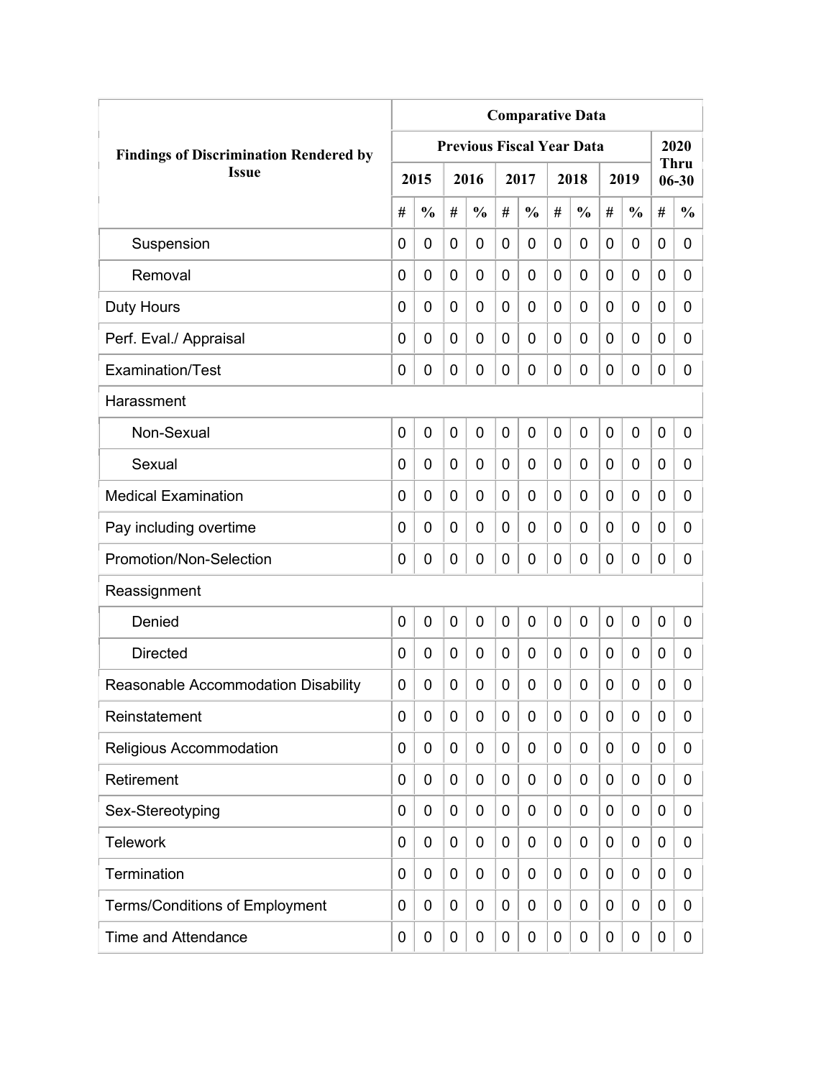|                                               | <b>Comparative Data</b> |                |   |                                  |             |               |             |               |   |               |             |                          |  |  |
|-----------------------------------------------|-------------------------|----------------|---|----------------------------------|-------------|---------------|-------------|---------------|---|---------------|-------------|--------------------------|--|--|
| <b>Findings of Discrimination Rendered by</b> |                         |                |   | <b>Previous Fiscal Year Data</b> |             |               |             |               |   |               |             | 2020                     |  |  |
| <b>Issue</b>                                  |                         | 2015           |   | 2016                             |             | 2017          |             | 2018          |   | 2019          |             | <b>Thru</b><br>$06 - 30$ |  |  |
|                                               | #                       | $\frac{0}{0}$  | # | $\frac{0}{0}$                    | #           | $\frac{0}{0}$ | #           | $\frac{0}{0}$ | # | $\frac{0}{0}$ | #           | $\frac{0}{0}$            |  |  |
| Suspension                                    | 0                       | $\mathbf 0$    | 0 | $\overline{0}$                   | 0           | 0             | $\mathbf 0$ | 0             | 0 | $\mathbf 0$   | 0           | 0                        |  |  |
| Removal                                       | 0                       | 0              | 0 | $\overline{0}$                   | $\mathbf 0$ | 0             | 0           | 0             | 0 | $\mathbf 0$   | $\mathbf 0$ | 0                        |  |  |
| <b>Duty Hours</b>                             | 0                       | 0              | 0 | 0                                | 0           | 0             | 0           | 0             | 0 | $\mathbf 0$   | 0           | 0                        |  |  |
| Perf. Eval./ Appraisal                        | 0                       | 0              | 0 | 0                                | 0           | 0             | 0           | 0             | 0 | $\mathbf 0$   | 0           | 0                        |  |  |
| Examination/Test                              | 0                       | 0              | 0 | 0                                | $\mathbf 0$ | 0             | 0           | 0             | 0 | $\mathbf 0$   | 0           | 0                        |  |  |
| Harassment                                    |                         |                |   |                                  |             |               |             |               |   |               |             |                          |  |  |
| Non-Sexual                                    | 0                       | $\overline{0}$ | 0 | 0                                | $\mathbf 0$ | 0             | $\mathbf 0$ | $\mathbf 0$   | 0 | $\mathbf 0$   | 0           | 0                        |  |  |
| Sexual                                        | 0                       | 0              | 0 | $\overline{0}$                   | 0           | 0             | 0           | 0             | 0 | $\mathbf 0$   | 0           | 0                        |  |  |
| <b>Medical Examination</b>                    | 0                       | 0              | 0 | $\overline{0}$                   | 0           | 0             | 0           | 0             | 0 | $\mathbf 0$   | $\mathbf 0$ | 0                        |  |  |
| Pay including overtime                        | 0                       | 0              | 0 | 0                                | 0           | 0             | 0           | 0             | 0 | $\mathbf 0$   | 0           | 0                        |  |  |
| Promotion/Non-Selection                       | 0                       | 0              | 0 | 0                                | $\mathbf 0$ | 0             | 0           | 0             | 0 | $\mathbf 0$   | 0           | 0                        |  |  |
| Reassignment                                  |                         |                |   |                                  |             |               |             |               |   |               |             |                          |  |  |
| Denied                                        | 0                       | $\mathbf 0$    | 0 | $\overline{0}$                   | $\mathbf 0$ | 0             | 0           | 0             | 0 | $\mathbf 0$   | 0           | 0                        |  |  |
| <b>Directed</b>                               | 0                       | $\mathbf 0$    | 0 | 0                                | $\mathbf 0$ | 0             | 0           | 0             | 0 | $\mathbf 0$   | 0           | 0                        |  |  |
| Reasonable Accommodation Disability           | 0                       | 0              | 0 | 0                                | 0           | 0             | 0           | 0             | 0 | 0             | 0           | 0                        |  |  |
| Reinstatement                                 | 0                       | 0              | 0 | 0                                | $\mathbf 0$ | 0             | 0           | 0             | 0 | $\mathbf 0$   | 0           | 0                        |  |  |
| Religious Accommodation                       | 0                       | 0              | 0 | 0                                | 0           | 0             | 0           | 0             | 0 | $\mathbf 0$   | 0           | 0                        |  |  |
| Retirement                                    | 0                       | 0              | 0 | 0                                | $\mathbf 0$ | 0             | 0           | 0             | 0 | $\mathbf 0$   | 0           | 0                        |  |  |
| Sex-Stereotyping                              | 0                       | 0              | 0 | 0                                | 0           | 0             | 0           | 0             | 0 | $\mathbf 0$   | 0           | 0                        |  |  |
| <b>Telework</b>                               | 0                       | 0              | 0 | 0                                | 0           | 0             | 0           | 0             | 0 | $\mathbf 0$   | 0           | 0                        |  |  |
| Termination                                   | 0                       | 0              | 0 | 0                                | $\mathbf 0$ | 0             | 0           | 0             | 0 | $\mathbf 0$   | 0           | 0                        |  |  |
| <b>Terms/Conditions of Employment</b>         | 0                       | 0              | 0 | 0                                | 0           | 0             | 0           | 0             | 0 | $\mathbf 0$   | 0           | 0                        |  |  |
| <b>Time and Attendance</b>                    | 0                       | 0              | 0 | 0                                | $\mathbf 0$ | 0             | 0           | 0             | 0 | $\mathbf 0$   | 0           | 0                        |  |  |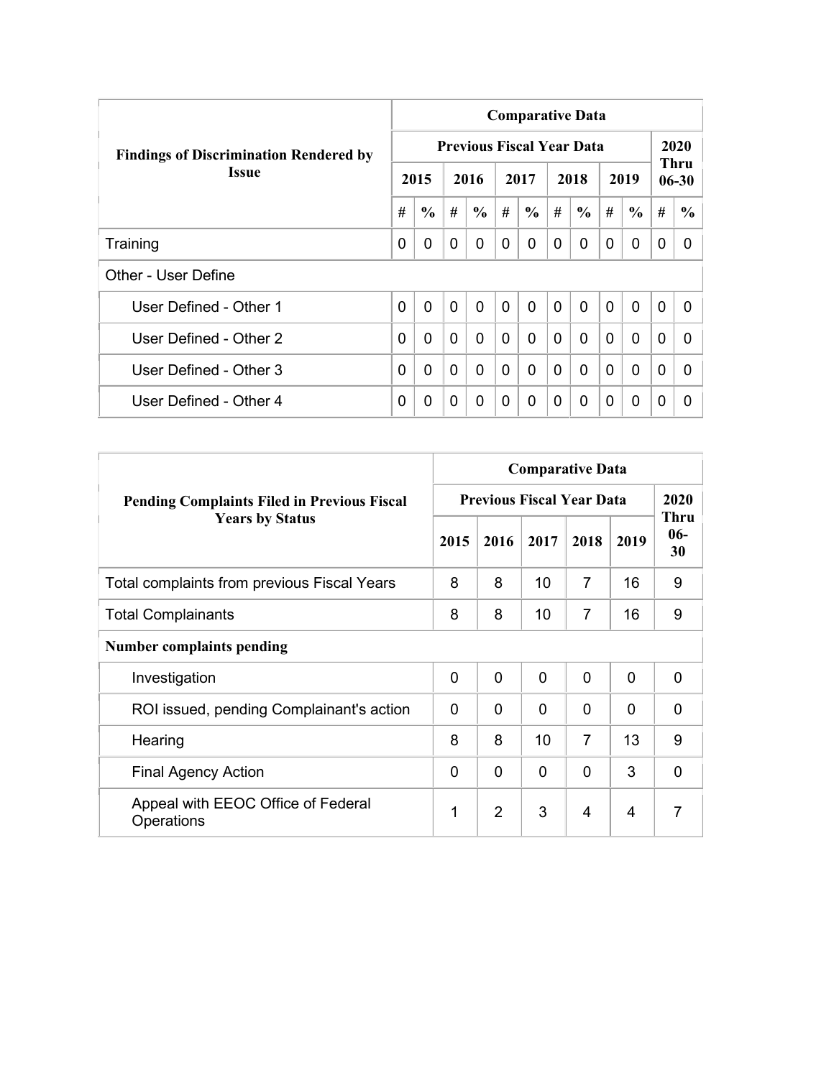|                                               |   |               |                |                                  |                | <b>Comparative Data</b> |              |               |                |               |                |                          |
|-----------------------------------------------|---|---------------|----------------|----------------------------------|----------------|-------------------------|--------------|---------------|----------------|---------------|----------------|--------------------------|
| <b>Findings of Discrimination Rendered by</b> |   |               |                | <b>Previous Fiscal Year Data</b> |                |                         |              |               |                |               |                | 2020                     |
| <b>Issue</b>                                  |   | 2015          |                | 2016                             |                | 2017                    |              | 2018          |                | 2019          |                | <b>Thru</b><br>$06 - 30$ |
|                                               | # | $\frac{6}{6}$ | #              | $\frac{6}{6}$                    | #              | $\frac{6}{6}$           | #            | $\frac{6}{6}$ | #              | $\frac{6}{6}$ | #              | $\frac{6}{9}$            |
| Training                                      | 0 | 0             | $\Omega$       | 0                                | 0              | $\Omega$                | 0            | 0             | $\Omega$       | 0             | 0              | 0                        |
| Other - User Define                           |   |               |                |                                  |                |                         |              |               |                |               |                |                          |
| User Defined - Other 1                        | 0 | $\mathbf{0}$  | $\overline{0}$ | $\mathbf{0}$                     | $\overline{0}$ | $\overline{0}$          | $\mathbf{0}$ | $\Omega$      | $\overline{0}$ | $\mathbf{0}$  | $\overline{0}$ | 0                        |
| User Defined - Other 2                        | 0 | 0             | $\mathbf{0}$   | $\Omega$                         | $\Omega$       | 0                       | $\Omega$     | $\Omega$      | $\Omega$       | $\mathbf{0}$  | $\Omega$       | <sup>0</sup>             |
| User Defined - Other 3                        | 0 | 0             | $\Omega$       | 0                                | $\mathbf{0}$   | 0                       | $\Omega$     | $\Omega$      | $\Omega$       | $\mathbf{0}$  | $\Omega$       | 0                        |
| User Defined - Other 4                        | 0 | 0             | $\Omega$       | 0                                | 0              | $\Omega$                | 0            | $\Omega$      | 0              | $\mathbf 0$   | 0              | 0                        |

|                                                    |          |                |              | <b>Comparative Data</b>          |          |                            |
|----------------------------------------------------|----------|----------------|--------------|----------------------------------|----------|----------------------------|
| <b>Pending Complaints Filed in Previous Fiscal</b> |          |                |              | <b>Previous Fiscal Year Data</b> |          | 2020                       |
| <b>Years by Status</b>                             | 2015     | 2016           | 2017         | 2018                             | 2019     | <b>Thru</b><br>$06-$<br>30 |
| Total complaints from previous Fiscal Years        | 8        | 8              | 10           | $\overline{7}$                   | 16       | 9                          |
| <b>Total Complainants</b>                          | 8        | 8              | 10           | 7                                | 16       | 9                          |
| <b>Number complaints pending</b>                   |          |                |              |                                  |          |                            |
| Investigation                                      | $\Omega$ | $\overline{0}$ | $\mathbf{0}$ | $\mathbf 0$                      | 0        | $\overline{0}$             |
| ROI issued, pending Complainant's action           | $\Omega$ | $\Omega$       | $\Omega$     | $\Omega$                         | $\Omega$ | 0                          |
| Hearing                                            | 8        | 8              | 10           | $\overline{7}$                   | 13       | 9                          |
| <b>Final Agency Action</b>                         | $\Omega$ | $\mathbf{0}$   | $\Omega$     | $\mathbf 0$                      | 3        | $\overline{0}$             |
| Appeal with EEOC Office of Federal<br>Operations   | 1        | $\overline{2}$ | 3            | 4                                | 4        | 7                          |